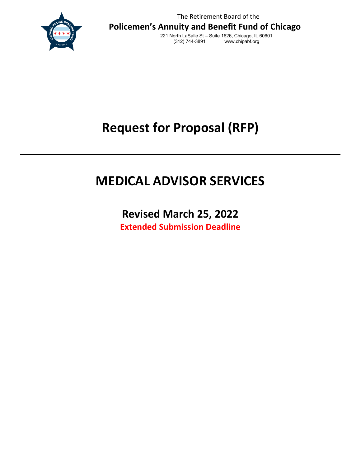

The Retirement Board of the **Policemen's Annuity and Benefit Fund of Chicago**

221 North LaSalle St – Suite 1626, Chicago, IL 60601 www.chipabf.org

**Request for Proposal (RFP)** 

# **MEDICAL ADVISOR SERVICES**

**Revised March 25, 2022 Extended Submission Deadline**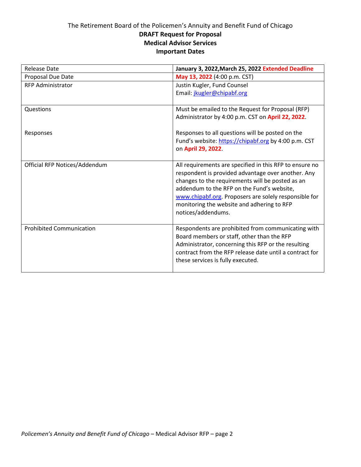# The Retirement Board of the Policemen's Annuity and Benefit Fund of Chicago **DRAFT Request for Proposal Medical Advisor Services Important Dates**

| <b>Release Date</b>             | January 3, 2022, March 25, 2022 Extended Deadline                                                                                                                                                 |
|---------------------------------|---------------------------------------------------------------------------------------------------------------------------------------------------------------------------------------------------|
| Proposal Due Date               | May 13, 2022 (4:00 p.m. CST)                                                                                                                                                                      |
| <b>RFP Administrator</b>        | Justin Kugler, Fund Counsel                                                                                                                                                                       |
|                                 | Email: jkugler@chipabf.org                                                                                                                                                                        |
| Questions                       | Must be emailed to the Request for Proposal (RFP)                                                                                                                                                 |
|                                 | Administrator by 4:00 p.m. CST on April 22, 2022.                                                                                                                                                 |
| Responses                       | Responses to all questions will be posted on the                                                                                                                                                  |
|                                 | Fund's website: https://chipabf.org by 4:00 p.m. CST                                                                                                                                              |
|                                 | on April 29, 2022.                                                                                                                                                                                |
| Official RFP Notices/Addendum   | All requirements are specified in this RFP to ensure no                                                                                                                                           |
|                                 | respondent is provided advantage over another. Any<br>changes to the requirements will be posted as an                                                                                            |
|                                 | addendum to the RFP on the Fund's website,                                                                                                                                                        |
|                                 | www.chipabf.org. Proposers are solely responsible for                                                                                                                                             |
|                                 | monitoring the website and adhering to RFP                                                                                                                                                        |
|                                 | notices/addendums.                                                                                                                                                                                |
| <b>Prohibited Communication</b> | Respondents are prohibited from communicating with                                                                                                                                                |
|                                 |                                                                                                                                                                                                   |
|                                 |                                                                                                                                                                                                   |
|                                 |                                                                                                                                                                                                   |
|                                 |                                                                                                                                                                                                   |
|                                 | Board members or staff, other than the RFP<br>Administrator, concerning this RFP or the resulting<br>contract from the RFP release date until a contract for<br>these services is fully executed. |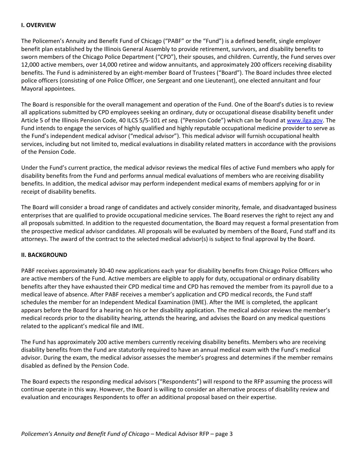# **I. OVERVIEW**

The Policemen's Annuity and Benefit Fund of Chicago ("PABF" or the "Fund") is a defined benefit, single employer benefit plan established by the Illinois General Assembly to provide retirement, survivors, and disability benefits to sworn members of the Chicago Police Department ("CPD"), their spouses, and children. Currently, the Fund serves over 12,000 active members, over 14,000 retiree and widow annuitants, and approximately 200 officers receiving disability benefits. The Fund is administered by an eight-member Board of Trustees ("Board"). The Board includes three elected police officers (consisting of one Police Officer, one Sergeant and one Lieutenant), one elected annuitant and four Mayoral appointees.

The Board is responsible for the overall management and operation of the Fund. One of the Board's duties is to review all applications submitted by CPD employees seeking an ordinary, duty or occupational disease disability benefit under Article 5 of the Illinois Pension Code, 40 ILCS 5/5-101 *et seq.* ("Pension Code") which can be found at [www.ilga.gov.](http://www.ilga.gov/) The Fund intends to engage the services of highly qualified and highly reputable occupational medicine provider to serve as the Fund's independent medical advisor ("medical advisor"). This medical advisor will furnish occupational health services, including but not limited to, medical evaluations in disability related matters in accordance with the provisions of the Pension Code.

Under the Fund's current practice, the medical advisor reviews the medical files of active Fund members who apply for disability benefits from the Fund and performs annual medical evaluations of members who are receiving disability benefits. In addition, the medical advisor may perform independent medical exams of members applying for or in receipt of disability benefits.

The Board will consider a broad range of candidates and actively consider minority, female, and disadvantaged business enterprises that are qualified to provide occupational medicine services. The Board reserves the right to reject any and all proposals submitted. In addition to the requested documentation, the Board may request a formal presentation from the prospective medical advisor candidates. All proposals will be evaluated by members of the Board, Fund staff and its attorneys. The award of the contract to the selected medical advisor(s) is subject to final approval by the Board.

# **II. BACKGROUND**

PABF receives approximately 30-40 new applications each year for disability benefits from Chicago Police Officers who are active members of the Fund. Active members are eligible to apply for duty, occupational or ordinary disability benefits after they have exhausted their CPD medical time and CPD has removed the member from its payroll due to a medical leave of absence. After PABF receives a member's application and CPD medical records, the Fund staff schedules the member for an Independent Medical Examination (IME). After the IME is completed, the applicant appears before the Board for a hearing on his or her disability application. The medical advisor reviews the member's medical records prior to the disability hearing, attends the hearing, and advises the Board on any medical questions related to the applicant's medical file and IME.

The Fund has approximately 200 active members currently receiving disability benefits. Members who are receiving disability benefits from the Fund are statutorily required to have an annual medical exam with the Fund's medical advisor. During the exam, the medical advisor assesses the member's progress and determines if the member remains disabled as defined by the Pension Code.

The Board expects the responding medical advisors ("Respondents") will respond to the RFP assuming the process will continue operate in this way. However, the Board is willing to consider an alternative process of disability review and evaluation and encourages Respondents to offer an additional proposal based on their expertise.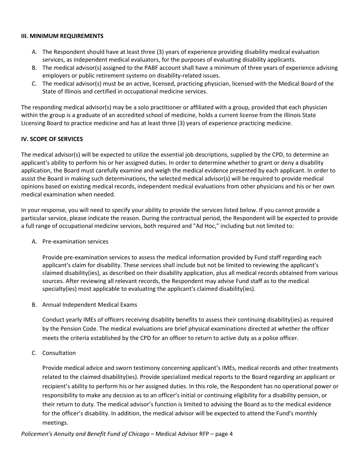# **III. MINIMUM REQUIREMENTS**

- A. The Respondent should have at least three (3) years of experience providing disability medical evaluation services, as independent medical evaluators, for the purposes of evaluating disability applicants.
- B. The medical advisor(s) assigned to the PABF account shall have a minimum of three years of experience advising employers or public retirement systems on disability-related issues.
- C. The medical advisor(s) must be an active, licensed, practicing physician, licensed with the Medical Board of the State of Illinois and certified in occupational medicine services.

The responding medical advisor(s) may be a solo practitioner or affiliated with a group, provided that each physician within the group is a graduate of an accredited school of medicine, holds a current license from the Illinois State Licensing Board to practice medicine and has at least three (3) years of experience practicing medicine.

# **IV. SCOPE OF SERVICES**

The medical advisor(s) will be expected to utilize the essential job descriptions, supplied by the CPD, to determine an applicant's ability to perform his or her assigned duties. In order to determine whether to grant or deny a disability application, the Board must carefully examine and weigh the medical evidence presented by each applicant. In order to assist the Board in making such determinations, the selected medical advisor(s) will be required to provide medical opinions based on existing medical records, independent medical evaluations from other physicians and his or her own medical examination when needed.

In your response, you will need to specify your ability to provide the services listed below. If you cannot provide a particular service, please indicate the reason. During the contractual period, the Respondent will be expected to provide a full range of occupational medicine services, both required and "Ad Hoc," including but not limited to:

A. Pre-examination services

Provide pre-examination services to assess the medical information provided by Fund staff regarding each applicant's claim for disability. These services shall include but not be limited to reviewing the applicant's claimed disability(ies), as described on their disability application, plus all medical records obtained from various sources. After reviewing all relevant records, the Respondent may advise Fund staff as to the medical specialty(ies) most applicable to evaluating the applicant's claimed disability(ies).

B. Annual Independent Medical Exams

Conduct yearly IMEs of officers receiving disability benefits to assess their continuing disability(ies) as required by the Pension Code. The medical evaluations are brief physical examinations directed at whether the officer meets the criteria established by the CPD for an officer to return to active duty as a police officer.

C. Consultation

Provide medical advice and sworn testimony concerning applicant's IMEs, medical records and other treatments related to the claimed disability(ies). Provide specialized medical reports to the Board regarding an applicant or recipient's ability to perform his or her assigned duties. In this role, the Respondent has no operational power or responsibility to make any decision as to an officer's initial or continuing eligibility for a disability pension, or their return to duty. The medical advisor's function is limited to advising the Board as to the medical evidence for the officer's disability. In addition, the medical advisor will be expected to attend the Fund's monthly meetings.

*Policemen's Annuity and Benefit Fund of Chicago* – Medical Advisor RFP – page 4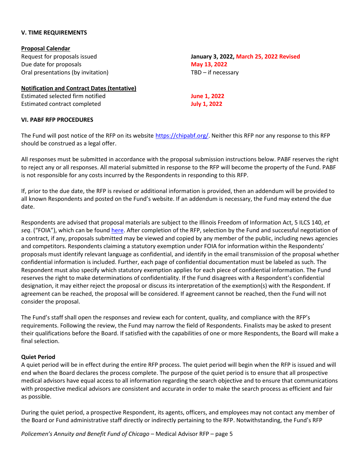### **V. TIME REQUIREMENTS**

**VI. PABF RFP PROCEDURES** 

| <b>Proposal Calendar</b>                           |                    |
|----------------------------------------------------|--------------------|
| Request for proposals issued                       | January 3, 2022, N |
| Due date for proposals                             | May 13, 2022       |
| Oral presentations (by invitation)                 | TBD - if necessary |
| <b>Notification and Contract Dates (tentative)</b> |                    |

Estimated selected firm notified **June 1, 2022** Estimated contract completed **July 1, 2022** 

The Fund will post notice of the RFP on its website [https://chipabf.org/.](https://chipabf.org/) Neither this RFP nor any response to this RFP should be construed as a legal offer.

**March 25, 2022 Revised** 

All responses must be submitted in accordance with the proposal submission instructions below. PABF reserves the right to reject any or all responses. All material submitted in response to the RFP will become the property of the Fund. PABF is not responsible for any costs incurred by the Respondents in responding to this RFP.

If, prior to the due date, the RFP is revised or additional information is provided, then an addendum will be provided to all known Respondents and posted on the Fund's website. If an addendum is necessary, the Fund may extend the due date.

Respondents are advised that proposal materials are subject to the Illinois Freedom of Information Act, 5 ILCS 140, *et seq*. ("FOIA"), which can be found [here.](https://www.ilga.gov/legislation/ilcs/ilcs3.asp?ActID=85&ChapterID=2) After completion of the RFP, selection by the Fund and successful negotiation of a contract, if any, proposals submitted may be viewed and copied by any member of the public, including news agencies and competitors. Respondents claiming a statutory exemption under FOIA for information within the Respondents' proposals must identify relevant language as confidential, and identify in the email transmission of the proposal whether confidential information is included. Further, each page of confidential documentation must be labeled as such. The Respondent must also specify which statutory exemption applies for each piece of confidential information. The Fund reserves the right to make determinations of confidentiality. If the Fund disagrees with a Respondent's confidential designation, it may either reject the proposal or discuss its interpretation of the exemption(s) with the Respondent. If agreement can be reached, the proposal will be considered. If agreement cannot be reached, then the Fund will not consider the proposal.

The Fund's staff shall open the responses and review each for content, quality, and compliance with the RFP's requirements. Following the review, the Fund may narrow the field of Respondents. Finalists may be asked to present their qualifications before the Board. If satisfied with the capabilities of one or more Respondents, the Board will make a final selection.

# **Quiet Period**

A quiet period will be in effect during the entire RFP process. The quiet period will begin when the RFP is issued and will end when the Board declares the process complete. The purpose of the quiet period is to ensure that all prospective medical advisors have equal access to all information regarding the search objective and to ensure that communications with prospective medical advisors are consistent and accurate in order to make the search process as efficient and fair as possible.

During the quiet period, a prospective Respondent, its agents, officers, and employees may not contact any member of the Board or Fund administrative staff directly or indirectly pertaining to the RFP. Notwithstanding, the Fund's RFP

*Policemen's Annuity and Benefit Fund of Chicago* – Medical Advisor RFP – page 5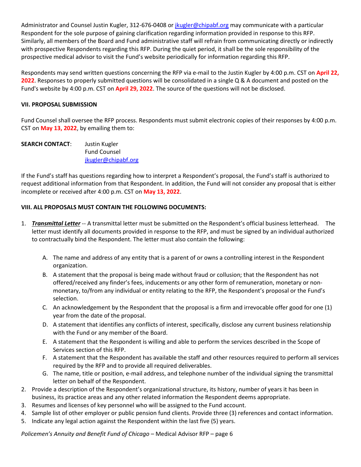Administrator and Counsel Justin Kugler, 312-676-0408 or [jkugler@chipabf.org](mailto:jkugler@chipabf.org) may communicate with a particular Respondent for the sole purpose of gaining clarification regarding information provided in response to this RFP. Similarly, all members of the Board and Fund administrative staff will refrain from communicating directly or indirectly with prospective Respondents regarding this RFP. During the quiet period, it shall be the sole responsibility of the prospective medical advisor to visit the Fund's website periodically for information regarding this RFP.

Respondents may send written questions concerning the RFP via e-mail to the Justin Kugler by 4:00 p.m. CST on **April 22, 2022**. Responses to properly submitted questions will be consolidated in a single Q & A document and posted on the Fund's website by 4:00 p.m. CST on **April 29, 2022**. The source of the questions will not be disclosed.

# **VII. PROPOSAL SUBMISSION**

Fund Counsel shall oversee the RFP process. Respondents must submit electronic copies of their responses by 4:00 p.m. CST on **May 13, 2022**, by emailing them to:

| <b>SEARCH CONTACT:</b> | Justin Kugler       |
|------------------------|---------------------|
|                        | <b>Fund Counsel</b> |
|                        | jkugler@chipabf.org |

If the Fund's staff has questions regarding how to interpret a Respondent's proposal, the Fund's staff is authorized to request additional information from that Respondent. In addition, the Fund will not consider any proposal that is either incomplete or received after 4:00 p.m. CST on **May 13, 2022**.

# **VIII. ALL PROPOSALS MUST CONTAIN THE FOLLOWING DOCUMENTS:**

- 1. *Transmittal Letter* -- A transmittal letter must be submitted on the Respondent's official business letterhead. The letter must identify all documents provided in response to the RFP, and must be signed by an individual authorized to contractually bind the Respondent. The letter must also contain the following:
	- A. The name and address of any entity that is a parent of or owns a controlling interest in the Respondent organization.
	- B. A statement that the proposal is being made without fraud or collusion; that the Respondent has not offered/received any finder's fees, inducements or any other form of remuneration, monetary or nonmonetary, to/from any individual or entity relating to the RFP, the Respondent's proposal or the Fund's selection.
	- C. An acknowledgement by the Respondent that the proposal is a firm and irrevocable offer good for one (1) year from the date of the proposal.
	- D. A statement that identifies any conflicts of interest, specifically, disclose any current business relationship with the Fund or any member of the Board.
	- E. A statement that the Respondent is willing and able to perform the services described in the Scope of Services section of this RFP.
	- F. A statement that the Respondent has available the staff and other resources required to perform all services required by the RFP and to provide all required deliverables.
	- G. The name, title or position, e-mail address, and telephone number of the individual signing the transmittal letter on behalf of the Respondent.
- 2. Provide a description of the Respondent's organizational structure, its history, number of years it has been in business, its practice areas and any other related information the Respondent deems appropriate.
- 3. Resumes and licenses of key personnel who will be assigned to the Fund account.
- 4. Sample list of other employer or public pension fund clients. Provide three (3) references and contact information.
- 5. Indicate any legal action against the Respondent within the last five (5) years.

*Policemen's Annuity and Benefit Fund of Chicago* – Medical Advisor RFP – page 6